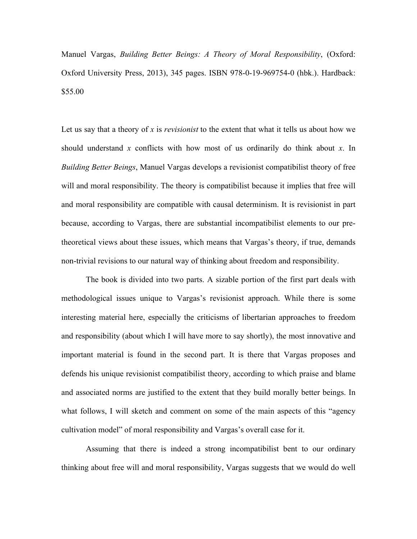Manuel Vargas, *Building Better Beings: A Theory of Moral Responsibility*, (Oxford: Oxford University Press, 2013), 345 pages. ISBN 978-0-19-969754-0 (hbk.). Hardback: \$55.00

Let us say that a theory of *x* is *revisionist* to the extent that what it tells us about how we should understand *x* conflicts with how most of us ordinarily do think about *x*. In *Building Better Beings*, Manuel Vargas develops a revisionist compatibilist theory of free will and moral responsibility. The theory is compatibilist because it implies that free will and moral responsibility are compatible with causal determinism. It is revisionist in part because, according to Vargas, there are substantial incompatibilist elements to our pretheoretical views about these issues, which means that Vargas's theory, if true, demands non-trivial revisions to our natural way of thinking about freedom and responsibility.

The book is divided into two parts. A sizable portion of the first part deals with methodological issues unique to Vargas's revisionist approach. While there is some interesting material here, especially the criticisms of libertarian approaches to freedom and responsibility (about which I will have more to say shortly), the most innovative and important material is found in the second part. It is there that Vargas proposes and defends his unique revisionist compatibilist theory, according to which praise and blame and associated norms are justified to the extent that they build morally better beings. In what follows, I will sketch and comment on some of the main aspects of this "agency cultivation model" of moral responsibility and Vargas's overall case for it.

Assuming that there is indeed a strong incompatibilist bent to our ordinary thinking about free will and moral responsibility, Vargas suggests that we would do well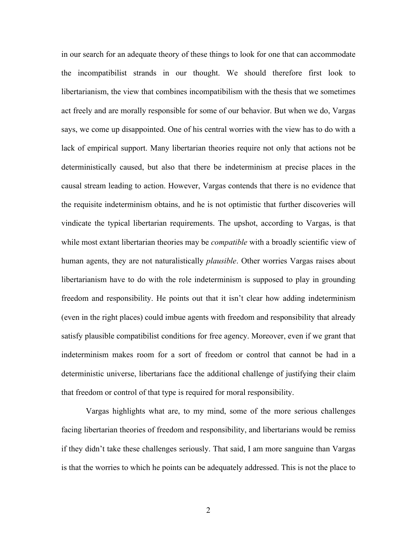in our search for an adequate theory of these things to look for one that can accommodate the incompatibilist strands in our thought. We should therefore first look to libertarianism, the view that combines incompatibilism with the thesis that we sometimes act freely and are morally responsible for some of our behavior. But when we do, Vargas says, we come up disappointed. One of his central worries with the view has to do with a lack of empirical support. Many libertarian theories require not only that actions not be deterministically caused, but also that there be indeterminism at precise places in the causal stream leading to action. However, Vargas contends that there is no evidence that the requisite indeterminism obtains, and he is not optimistic that further discoveries will vindicate the typical libertarian requirements. The upshot, according to Vargas, is that while most extant libertarian theories may be *compatible* with a broadly scientific view of human agents, they are not naturalistically *plausible*. Other worries Vargas raises about libertarianism have to do with the role indeterminism is supposed to play in grounding freedom and responsibility. He points out that it isn't clear how adding indeterminism (even in the right places) could imbue agents with freedom and responsibility that already satisfy plausible compatibilist conditions for free agency. Moreover, even if we grant that indeterminism makes room for a sort of freedom or control that cannot be had in a deterministic universe, libertarians face the additional challenge of justifying their claim that freedom or control of that type is required for moral responsibility.

Vargas highlights what are, to my mind, some of the more serious challenges facing libertarian theories of freedom and responsibility, and libertarians would be remiss if they didn't take these challenges seriously. That said, I am more sanguine than Vargas is that the worries to which he points can be adequately addressed. This is not the place to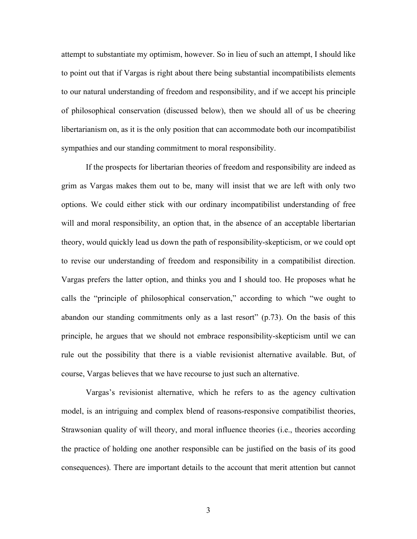attempt to substantiate my optimism, however. So in lieu of such an attempt, I should like to point out that if Vargas is right about there being substantial incompatibilists elements to our natural understanding of freedom and responsibility, and if we accept his principle of philosophical conservation (discussed below), then we should all of us be cheering libertarianism on, as it is the only position that can accommodate both our incompatibilist sympathies and our standing commitment to moral responsibility.

If the prospects for libertarian theories of freedom and responsibility are indeed as grim as Vargas makes them out to be, many will insist that we are left with only two options. We could either stick with our ordinary incompatibilist understanding of free will and moral responsibility, an option that, in the absence of an acceptable libertarian theory, would quickly lead us down the path of responsibility-skepticism, or we could opt to revise our understanding of freedom and responsibility in a compatibilist direction. Vargas prefers the latter option, and thinks you and I should too. He proposes what he calls the "principle of philosophical conservation," according to which "we ought to abandon our standing commitments only as a last resort" (p.73). On the basis of this principle, he argues that we should not embrace responsibility-skepticism until we can rule out the possibility that there is a viable revisionist alternative available. But, of course, Vargas believes that we have recourse to just such an alternative.

Vargas's revisionist alternative, which he refers to as the agency cultivation model, is an intriguing and complex blend of reasons-responsive compatibilist theories, Strawsonian quality of will theory, and moral influence theories (i.e., theories according the practice of holding one another responsible can be justified on the basis of its good consequences). There are important details to the account that merit attention but cannot

3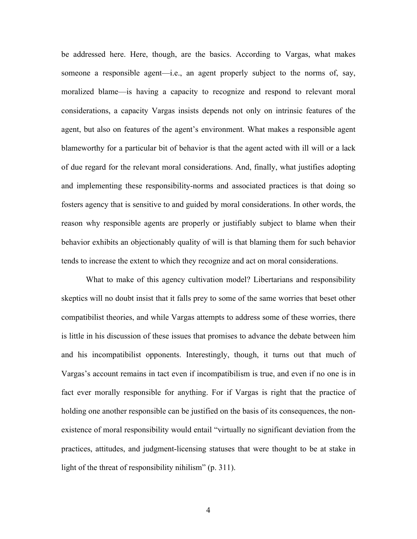be addressed here. Here, though, are the basics. According to Vargas, what makes someone a responsible agent—i.e., an agent properly subject to the norms of, say, moralized blame—is having a capacity to recognize and respond to relevant moral considerations, a capacity Vargas insists depends not only on intrinsic features of the agent, but also on features of the agent's environment. What makes a responsible agent blameworthy for a particular bit of behavior is that the agent acted with ill will or a lack of due regard for the relevant moral considerations. And, finally, what justifies adopting and implementing these responsibility-norms and associated practices is that doing so fosters agency that is sensitive to and guided by moral considerations. In other words, the reason why responsible agents are properly or justifiably subject to blame when their behavior exhibits an objectionably quality of will is that blaming them for such behavior tends to increase the extent to which they recognize and act on moral considerations.

What to make of this agency cultivation model? Libertarians and responsibility skeptics will no doubt insist that it falls prey to some of the same worries that beset other compatibilist theories, and while Vargas attempts to address some of these worries, there is little in his discussion of these issues that promises to advance the debate between him and his incompatibilist opponents. Interestingly, though, it turns out that much of Vargas's account remains in tact even if incompatibilism is true, and even if no one is in fact ever morally responsible for anything. For if Vargas is right that the practice of holding one another responsible can be justified on the basis of its consequences, the nonexistence of moral responsibility would entail "virtually no significant deviation from the practices, attitudes, and judgment-licensing statuses that were thought to be at stake in light of the threat of responsibility nihilism" (p. 311).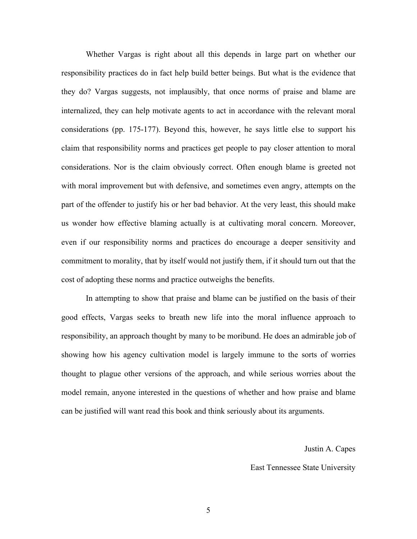Whether Vargas is right about all this depends in large part on whether our responsibility practices do in fact help build better beings. But what is the evidence that they do? Vargas suggests, not implausibly, that once norms of praise and blame are internalized, they can help motivate agents to act in accordance with the relevant moral considerations (pp. 175-177). Beyond this, however, he says little else to support his claim that responsibility norms and practices get people to pay closer attention to moral considerations. Nor is the claim obviously correct. Often enough blame is greeted not with moral improvement but with defensive, and sometimes even angry, attempts on the part of the offender to justify his or her bad behavior. At the very least, this should make us wonder how effective blaming actually is at cultivating moral concern. Moreover, even if our responsibility norms and practices do encourage a deeper sensitivity and commitment to morality, that by itself would not justify them, if it should turn out that the cost of adopting these norms and practice outweighs the benefits.

In attempting to show that praise and blame can be justified on the basis of their good effects, Vargas seeks to breath new life into the moral influence approach to responsibility, an approach thought by many to be moribund. He does an admirable job of showing how his agency cultivation model is largely immune to the sorts of worries thought to plague other versions of the approach, and while serious worries about the model remain, anyone interested in the questions of whether and how praise and blame can be justified will want read this book and think seriously about its arguments.

Justin A. Capes

East Tennessee State University